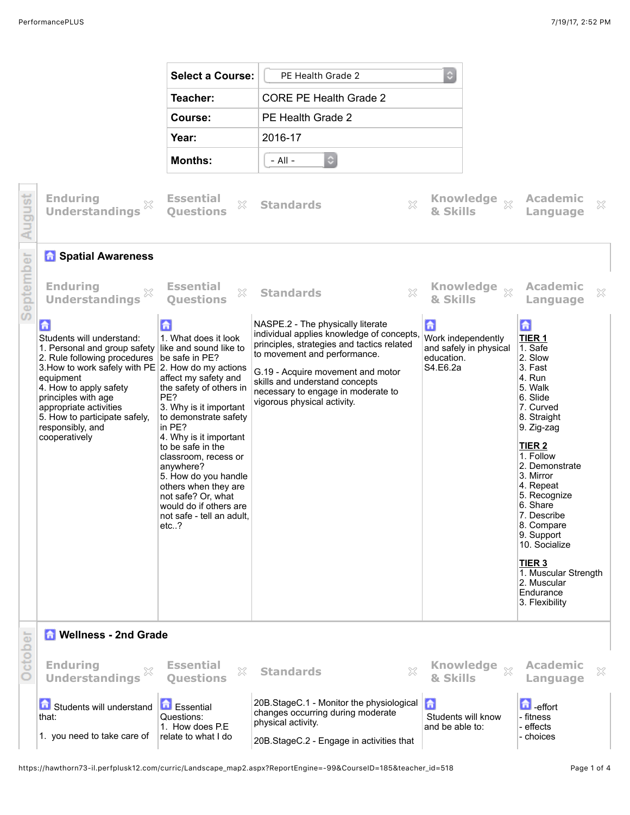|           |                                                                                                                                                                                                                                                                                                                    | <b>Select a Course:</b>                                                                                                                                                                                                                                                                                                                                                                                                   | PE Health Grade 2                                                                                                                                                                                                                                                                                        | $\hat{c}$                                                                   |                                                                                                                                                                                                                                                                                                                                                                                                 |
|-----------|--------------------------------------------------------------------------------------------------------------------------------------------------------------------------------------------------------------------------------------------------------------------------------------------------------------------|---------------------------------------------------------------------------------------------------------------------------------------------------------------------------------------------------------------------------------------------------------------------------------------------------------------------------------------------------------------------------------------------------------------------------|----------------------------------------------------------------------------------------------------------------------------------------------------------------------------------------------------------------------------------------------------------------------------------------------------------|-----------------------------------------------------------------------------|-------------------------------------------------------------------------------------------------------------------------------------------------------------------------------------------------------------------------------------------------------------------------------------------------------------------------------------------------------------------------------------------------|
|           |                                                                                                                                                                                                                                                                                                                    | Teacher:                                                                                                                                                                                                                                                                                                                                                                                                                  | CORE PE Health Grade 2                                                                                                                                                                                                                                                                                   |                                                                             |                                                                                                                                                                                                                                                                                                                                                                                                 |
|           |                                                                                                                                                                                                                                                                                                                    | Course:                                                                                                                                                                                                                                                                                                                                                                                                                   | PE Health Grade 2                                                                                                                                                                                                                                                                                        |                                                                             |                                                                                                                                                                                                                                                                                                                                                                                                 |
|           |                                                                                                                                                                                                                                                                                                                    | Year:                                                                                                                                                                                                                                                                                                                                                                                                                     | 2016-17                                                                                                                                                                                                                                                                                                  |                                                                             |                                                                                                                                                                                                                                                                                                                                                                                                 |
|           |                                                                                                                                                                                                                                                                                                                    | <b>Months:</b>                                                                                                                                                                                                                                                                                                                                                                                                            | $ \hat{\mathbf{c}} $<br>- All -                                                                                                                                                                                                                                                                          |                                                                             |                                                                                                                                                                                                                                                                                                                                                                                                 |
| August    | <b>Enduring</b><br><b>Understandings</b>                                                                                                                                                                                                                                                                           | <b>Essential</b><br>X<br><b>Ouestions</b>                                                                                                                                                                                                                                                                                                                                                                                 | ×<br><b>Standards</b>                                                                                                                                                                                                                                                                                    | Knowledge xx<br>& Skills                                                    | <b>Academic</b><br>$\gtrsim$<br>Language                                                                                                                                                                                                                                                                                                                                                        |
|           | <b>6</b> Spatial Awareness                                                                                                                                                                                                                                                                                         |                                                                                                                                                                                                                                                                                                                                                                                                                           |                                                                                                                                                                                                                                                                                                          |                                                                             |                                                                                                                                                                                                                                                                                                                                                                                                 |
| September | <b>Enduring</b><br>×<br><b>Understandings</b>                                                                                                                                                                                                                                                                      | <b>Essential</b><br>X<br><b>Ouestions</b>                                                                                                                                                                                                                                                                                                                                                                                 | $\mathbb{S}^2$<br><b>Standards</b>                                                                                                                                                                                                                                                                       | & Skills                                                                    | <b>Academic</b><br>X<br>Language                                                                                                                                                                                                                                                                                                                                                                |
|           | 合<br>Students will understand:<br>1. Personal and group safety<br>2. Rule following procedures<br>3. How to work safely with PE 2. How do my actions<br>equipment<br>4. How to apply safety<br>principles with age<br>appropriate activities<br>5. How to participate safely,<br>responsibly, and<br>cooperatively | ٦<br>1. What does it look<br>like and sound like to<br>be safe in PE?<br>affect my safety and<br>the safety of others in<br>PE?<br>3. Why is it important<br>to demonstrate safety<br>in PE?<br>4. Why is it important<br>to be safe in the<br>classroom, recess or<br>anywhere?<br>5. How do you handle<br>others when they are<br>not safe? Or, what<br>would do if others are<br>not safe - tell an adult,<br>etc. . ? | NASPE.2 - The physically literate<br>individual applies knowledge of concepts,<br>principles, strategies and tactics related<br>to movement and performance.<br>G.19 - Acquire movement and motor<br>skills and understand concepts<br>necessary to engage in moderate to<br>vigorous physical activity. | 6<br>Work independently<br>and safely in physical<br>education.<br>S4.E6.2a | 金<br>TIER <sub>1</sub><br>1. Safe<br>2. Slow<br>3. Fast<br>4. Run<br>5. Walk<br>6. Slide<br>7. Curved<br>8. Straight<br>9. Zig-zag<br>TIER <sub>2</sub><br>1. Follow<br>2. Demonstrate<br>3. Mirror<br>4. Repeat<br>5. Recognize<br>6. Share<br>7. Describe<br>8. Compare<br>9. Support<br>10. Socialize<br><b>TIER 3</b><br>1. Muscular Strength<br>2. Muscular<br>Endurance<br>3. Flexibility |
|           | <b>M</b> Wellness - 2nd Grade                                                                                                                                                                                                                                                                                      |                                                                                                                                                                                                                                                                                                                                                                                                                           |                                                                                                                                                                                                                                                                                                          |                                                                             |                                                                                                                                                                                                                                                                                                                                                                                                 |
| October   | <b>Enduring</b><br><b>Understandings</b>                                                                                                                                                                                                                                                                           | <b>Essential</b><br>X<br><b>Ouestions</b>                                                                                                                                                                                                                                                                                                                                                                                 | $\chi$<br><b>Standards</b>                                                                                                                                                                                                                                                                               | <b>Knowledge</b><br>$\chi$<br>& Skills                                      | <b>Academic</b><br>X<br>Language                                                                                                                                                                                                                                                                                                                                                                |
|           | Students will understand<br>that:<br>1. you need to take care of                                                                                                                                                                                                                                                   | Essential<br>Questions:<br>1. How does P.E.<br>relate to what I do                                                                                                                                                                                                                                                                                                                                                        | 20B.StageC.1 - Monitor the physiological<br>changes occurring during moderate<br>physical activity.<br>20B.StageC.2 - Engage in activities that                                                                                                                                                          | 台<br>Students will know<br>and be able to:                                  | $\Box$ -effort<br>- fitness<br>- effects<br>- choices                                                                                                                                                                                                                                                                                                                                           |

https://hawthorn73-il.perfplusk12.com/curric/Landscape\_map2.aspx?ReportEngine=-99&CourseID=185&teacher\_id=518 Page 1 of 4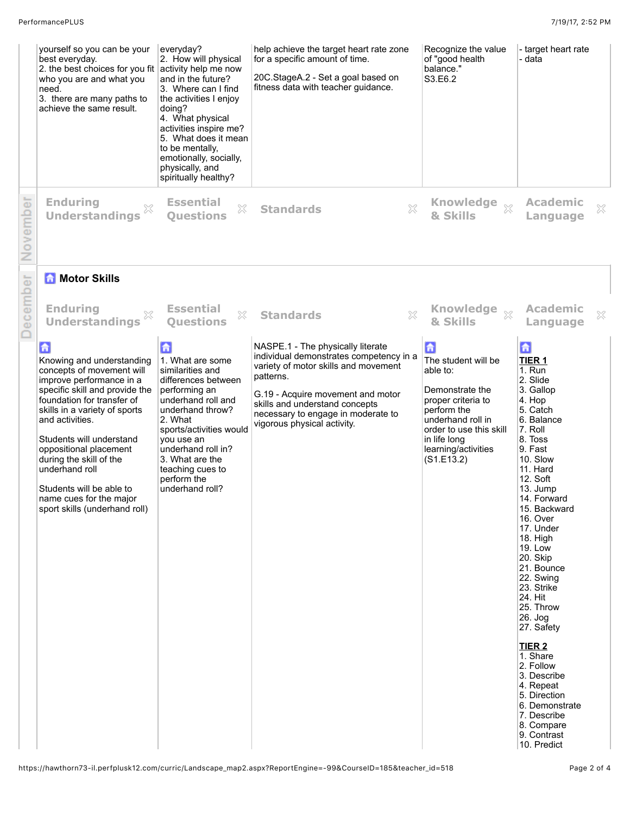|                        | yourself so you can be your<br>best everyday.<br>2. the best choices for you fit activity help me now<br>who you are and what you<br>need.<br>3. there are many paths to<br>achieve the same result.                                                                                                                                                                                                   | everyday?<br>2. How will physical<br>and in the future?<br>3. Where can I find<br>the activities I enjoy<br>doing?<br>4. What physical<br>activities inspire me?<br>5. What does it mean<br>to be mentally.<br>emotionally, socially,<br>physically, and<br>spiritually healthy? | help achieve the target heart rate zone<br>for a specific amount of time.<br>20C.StageA.2 - Set a goal based on<br>fitness data with teacher guidance.                                                                                                                        | Recognize the value<br>of "good health<br>balance."<br>S3.E6.2                                                                                                                                               | - target heart rate<br>- data                                                                                                                                                                                                                                                                                                                                                                                                                                                                                                                 |
|------------------------|--------------------------------------------------------------------------------------------------------------------------------------------------------------------------------------------------------------------------------------------------------------------------------------------------------------------------------------------------------------------------------------------------------|----------------------------------------------------------------------------------------------------------------------------------------------------------------------------------------------------------------------------------------------------------------------------------|-------------------------------------------------------------------------------------------------------------------------------------------------------------------------------------------------------------------------------------------------------------------------------|--------------------------------------------------------------------------------------------------------------------------------------------------------------------------------------------------------------|-----------------------------------------------------------------------------------------------------------------------------------------------------------------------------------------------------------------------------------------------------------------------------------------------------------------------------------------------------------------------------------------------------------------------------------------------------------------------------------------------------------------------------------------------|
| ember<br>$\frac{1}{2}$ | <b>Enduring</b><br>X<br><b>Understandings</b>                                                                                                                                                                                                                                                                                                                                                          | <b>Essential</b><br>53<br><b>Ouestions</b>                                                                                                                                                                                                                                       | 53<br><b>Standards</b>                                                                                                                                                                                                                                                        | Knowledge xx<br>& Skills                                                                                                                                                                                     | <b>Academic</b><br>X<br>Language                                                                                                                                                                                                                                                                                                                                                                                                                                                                                                              |
|                        | <b>A</b> Motor Skills                                                                                                                                                                                                                                                                                                                                                                                  |                                                                                                                                                                                                                                                                                  |                                                                                                                                                                                                                                                                               |                                                                                                                                                                                                              |                                                                                                                                                                                                                                                                                                                                                                                                                                                                                                                                               |
| ecemper                | <b>Enduring</b><br><b>Understandings</b>                                                                                                                                                                                                                                                                                                                                                               | <b>Essential</b><br>X<br><b>Ouestions</b>                                                                                                                                                                                                                                        | X<br><b>Standards</b>                                                                                                                                                                                                                                                         | Knowledge xx<br>& Skills                                                                                                                                                                                     | <b>Academic</b><br>×<br>Language                                                                                                                                                                                                                                                                                                                                                                                                                                                                                                              |
|                        | £<br>Knowing and understanding<br>concepts of movement will<br>improve performance in a<br>specific skill and provide the<br>foundation for transfer of<br>skills in a variety of sports<br>and activities.<br>Students will understand<br>oppositional placement<br>during the skill of the<br>underhand roll<br>Students will be able to<br>name cues for the major<br>sport skills (underhand roll) | 台<br>1. What are some<br>similarities and<br>differences between<br>performing an<br>underhand roll and<br>underhand throw?<br>2. What<br>sports/activities would<br>you use an<br>underhand roll in?<br>3. What are the<br>teaching cues to<br>perform the<br>underhand roll?   | NASPE.1 - The physically literate<br>individual demonstrates competency in a<br>variety of motor skills and movement<br>patterns.<br>G.19 - Acquire movement and motor<br>skills and understand concepts<br>necessary to engage in moderate to<br>vigorous physical activity. | $\mathbf{G}$<br>The student will be<br>able to:<br>Demonstrate the<br>proper criteria to<br>perform the<br>underhand roll in<br>order to use this skill<br>in life long<br>learning/activities<br>(S1.E13.2) | 6<br>TIER <sub>1</sub><br>1. Run<br>2. Slide<br>3. Gallop<br>4. Hop<br>5. Catch<br>6. Balance<br>7. Roll<br>8. Toss<br>9. Fast<br>10. Slow<br>11. Hard<br>12. Soft<br>13. Jump<br>14. Forward<br>15. Backward<br>16. Over<br>17. Under<br>18. High<br><b>19. Low</b><br>20. Skip<br>21. Bounce<br>22. Swing<br>23. Strike<br>24. Hit<br>25. Throw<br>26. Jog<br>27. Safety<br><b>TIER 2</b><br>1. Share<br>2. Follow<br>3. Describe<br>4. Repeat<br>5. Direction<br>6. Demonstrate<br>7. Describe<br>8. Compare<br>9. Contrast<br>10. Predict |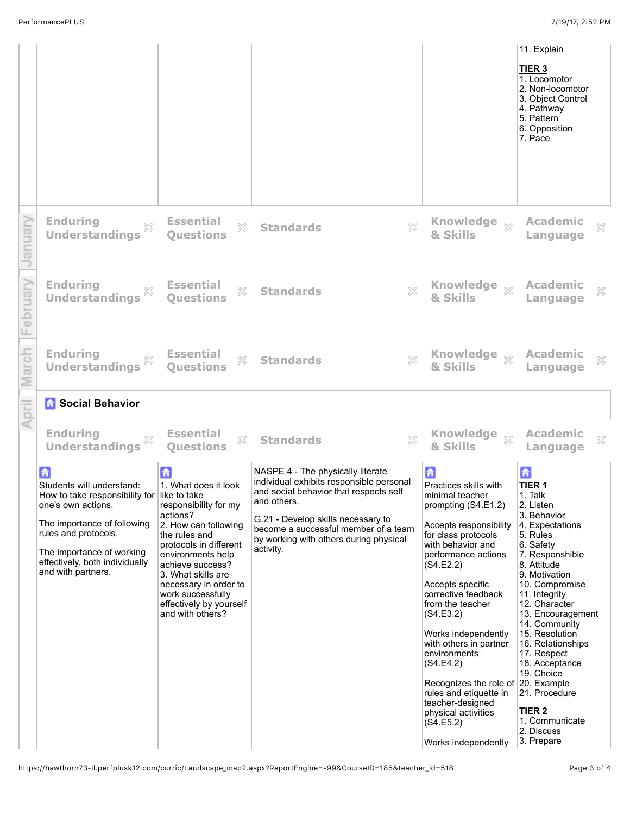ċ

ś

|                                                                                                                                                                                                                                                 |                                                                                                                                                                                                                                                                                               |                                                                                                                                                                                                                                                                             |                                                                                                                                                                                                                                                                                                                                                                                                                                                                                         | 11. Explain<br>TIER <sub>3</sub><br>1. Locomotor<br>2. Non-locomotor<br>3. Object Control<br>4. Pathway<br>5. Pattern<br>6. Opposition<br>7. Pace                                                                                                                                                                                                                                                                            |
|-------------------------------------------------------------------------------------------------------------------------------------------------------------------------------------------------------------------------------------------------|-----------------------------------------------------------------------------------------------------------------------------------------------------------------------------------------------------------------------------------------------------------------------------------------------|-----------------------------------------------------------------------------------------------------------------------------------------------------------------------------------------------------------------------------------------------------------------------------|-----------------------------------------------------------------------------------------------------------------------------------------------------------------------------------------------------------------------------------------------------------------------------------------------------------------------------------------------------------------------------------------------------------------------------------------------------------------------------------------|------------------------------------------------------------------------------------------------------------------------------------------------------------------------------------------------------------------------------------------------------------------------------------------------------------------------------------------------------------------------------------------------------------------------------|
| <b>Enduring</b><br><b>Understandings</b>                                                                                                                                                                                                        | <b>Essential</b><br>X<br><b>Questions</b>                                                                                                                                                                                                                                                     | $\mathbb{X}$<br><b>Standards</b>                                                                                                                                                                                                                                            | Knowledge xx<br>& Skills                                                                                                                                                                                                                                                                                                                                                                                                                                                                | <b>Academic</b><br>X<br>Language                                                                                                                                                                                                                                                                                                                                                                                             |
| <b>Enduring</b><br><b>Understandings</b>                                                                                                                                                                                                        | <b>Essential</b><br>×<br><b>Questions</b>                                                                                                                                                                                                                                                     | X<br><b>Standards</b>                                                                                                                                                                                                                                                       | <b>Knowledge</b><br>$\chi$<br>& Skills                                                                                                                                                                                                                                                                                                                                                                                                                                                  | <b>Academic</b><br>×<br>Language                                                                                                                                                                                                                                                                                                                                                                                             |
| <b>Enduring</b><br><b>Understandings</b>                                                                                                                                                                                                        | <b>Essential</b><br>X<br><b>Ouestions</b>                                                                                                                                                                                                                                                     | 33<br><b>Standards</b>                                                                                                                                                                                                                                                      | <b>Knowledge</b><br>$\chi$<br>& Skills                                                                                                                                                                                                                                                                                                                                                                                                                                                  | <b>Academic</b><br>X<br>Language                                                                                                                                                                                                                                                                                                                                                                                             |
| <b>A</b> Social Behavior                                                                                                                                                                                                                        |                                                                                                                                                                                                                                                                                               |                                                                                                                                                                                                                                                                             |                                                                                                                                                                                                                                                                                                                                                                                                                                                                                         |                                                                                                                                                                                                                                                                                                                                                                                                                              |
| <b>Enduring</b><br><b>Understandings</b>                                                                                                                                                                                                        | <b>Essential</b><br>X<br><b>Questions</b>                                                                                                                                                                                                                                                     | $\chi$<br><b>Standards</b>                                                                                                                                                                                                                                                  | Knowledge xx<br>& Skills                                                                                                                                                                                                                                                                                                                                                                                                                                                                | <b>Academic</b><br>X<br>Language                                                                                                                                                                                                                                                                                                                                                                                             |
| Ы<br>Students will understand:<br>How to take responsibility for like to take<br>one's own actions.<br>The importance of following<br>rules and protocols.<br>The importance of working<br>effectively, both individually<br>and with partners. | Ħ<br>1. What does it look<br>responsibility for my<br>actions?<br>2. How can following<br>the rules and<br>protocols in different<br>environments help<br>achieve success?<br>3. What skills are<br>necessary in order to<br>work successfully<br>effectively by yourself<br>and with others? | NASPE.4 - The physically literate<br>individual exhibits responsible personal<br>and social behavior that respects self<br>and others.<br>G.21 - Develop skills necessary to<br>become a successful member of a team<br>by working with others during physical<br>activity. | a<br>Practices skills with<br>minimal teacher<br>prompting (S4.E1.2)<br>Accepts responsibility<br>for class protocols<br>with behavior and<br>performance actions<br>(S4.E2.2)<br>Accepts specific<br>corrective feedback<br>from the teacher<br>(S4.E3.2)<br>Works independently<br>with others in partner<br>environments<br>(S4.E4.2)<br>Recognizes the role of 20. Example<br>rules and etiquette in<br>teacher-designed<br>physical activities<br>(S4.E5.2)<br>Works independently | 습<br><b>TIER 1</b><br>1. Talk<br>2. Listen<br>3. Behavior<br>4. Expectations<br>5. Rules<br>6. Safety<br>7. Responshible<br>8. Attitude<br>9. Motivation<br>10. Compromise<br>11. Integrity<br>12. Character<br>13. Encouragement<br>14. Community<br>15. Resolution<br>16. Relationships<br>17. Respect<br>18. Acceptance<br>19. Choice<br>21. Procedure<br>TIER <sub>2</sub><br>1. Communicate<br>2. Discuss<br>3. Prepare |